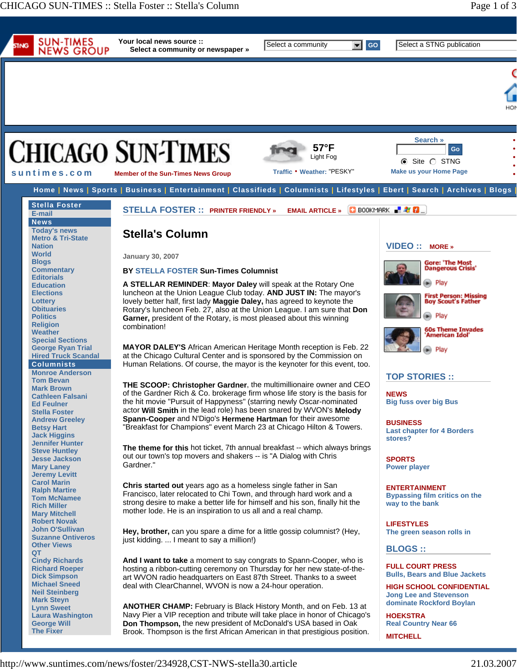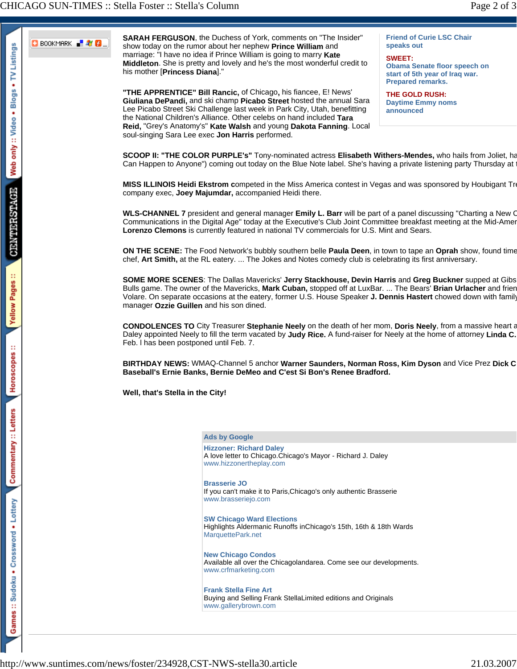

**SARAH FERGUSON**, the Duchess of York, comments on "The Insider" show today on the rumor about her nephew **Prince William** and marriage: "I have no idea if Prince William is going to marry **Kate Middleton**. She is pretty and lovely and he's the most wonderful credit to his mother [**Princess Diana**]."

**"THE APPRENTICE" Bill Rancic,** of Chicago**,** his fiancee, E! News' **Giuliana DePandi,** and ski champ **Picabo Street** hosted the annual Sara Lee Picabo Street Ski Challenge last week in Park City, Utah, benefitting the National Children's Alliance. Other celebs on hand included **Tara Reid,** "Grey's Anatomy's" **Kate Walsh** and young **Dakota Fanning**. Local soul-singing Sara Lee exec **Jon Harris** performed.

**Friend of Curie LSC Chair speaks out**

**SWEET: Obama Senate floor speech on start of 5th year of Iraq war. Prepared remarks.**

**THE GOLD RUSH: Daytime Emmy noms announced**

**SCOOP II: "THE COLOR PURPLE's"** Tony-nominated actress **Elisabeth Withers-Mendes,** who hails from Joliet, ha Can Happen to Anyone") coming out today on the Blue Note label. She's having a private listening party Thursday at t

**MISS ILLINOIS Heidi Ekstrom c**ompeted in the Miss America contest in Vegas and was sponsored by Houbigant Tre company exec, **Joey Majumdar,** accompanied Heidi there.

**WLS-CHANNEL 7** president and general manager **Emily L. Barr** will be part of a panel discussing "Charting a New C Communications in the Digital Age" today at the Executive's Club Joint Committee breakfast meeting at the Mid-Amer **Lorenzo Clemons** is currently featured in national TV commercials for U.S. Mint and Sears.

**ON THE SCENE:** The Food Network's bubbly southern belle **Paula Deen**, in town to tape an **Oprah** show, found time chef, **Art Smith,** at the RL eatery. ... The Jokes and Notes comedy club is celebrating its first anniversary.

**SOME MORE SCENES**: The Dallas Mavericks' **Jerry Stackhouse, Devin Harris** and **Greg Buckner** supped at Gibs Bulls game. The owner of the Mavericks, **Mark Cuban,** stopped off at LuxBar. ... The Bears' **Brian Urlacher** and frien Volare. On separate occasions at the eatery, former U.S. House Speaker **J. Dennis Hastert** chowed down with family manager **Ozzie Guillen** and his son dined.

**CONDOLENCES TO** City Treasurer **Stephanie Neely** on the death of her mom, **Doris Neely**, from a massive heart a Daley appointed Neely to fill the term vacated by **Judy Rice.** A fund-raiser for Neely at the home of attorney **Linda C.** Feb. l has been postponed until Feb. 7.

**BIRTHDAY NEWS:** WMAQ-Channel 5 anchor **Warner Saunders, Norman Ross, Kim Dyson** and Vice Prez **Dick C Baseball's Ernie Banks, Bernie DeMeo and C'est Si Bon's Renee Bradford.** 

## **Well, that's Stella in the City!**

## **Ads by Google Hizzoner: Richard Daley**

A love letter to Chicago.Chicago's Mayor - Richard J. Daley www.hizzonertheplay.com

## **Brasserie JO**

If you can't make it to Paris,Chicago's only authentic Brasserie www.brasseriejo.com

**SW Chicago Ward Elections** Highlights Aldermanic Runoffs inChicago's 15th, 16th & 18th Wards MarquettePark.net

**New Chicago Condos** Available all over the Chicagolandarea. Come see our developments. www.crfmarketing.com

**Frank Stella Fine Art** Buying and Selling Frank StellaLimited editions and Originals www.gallerybrown.com

http://www.suntimes.com/news/foster/234928,CST-NWS-stella30.article 21.03.2007